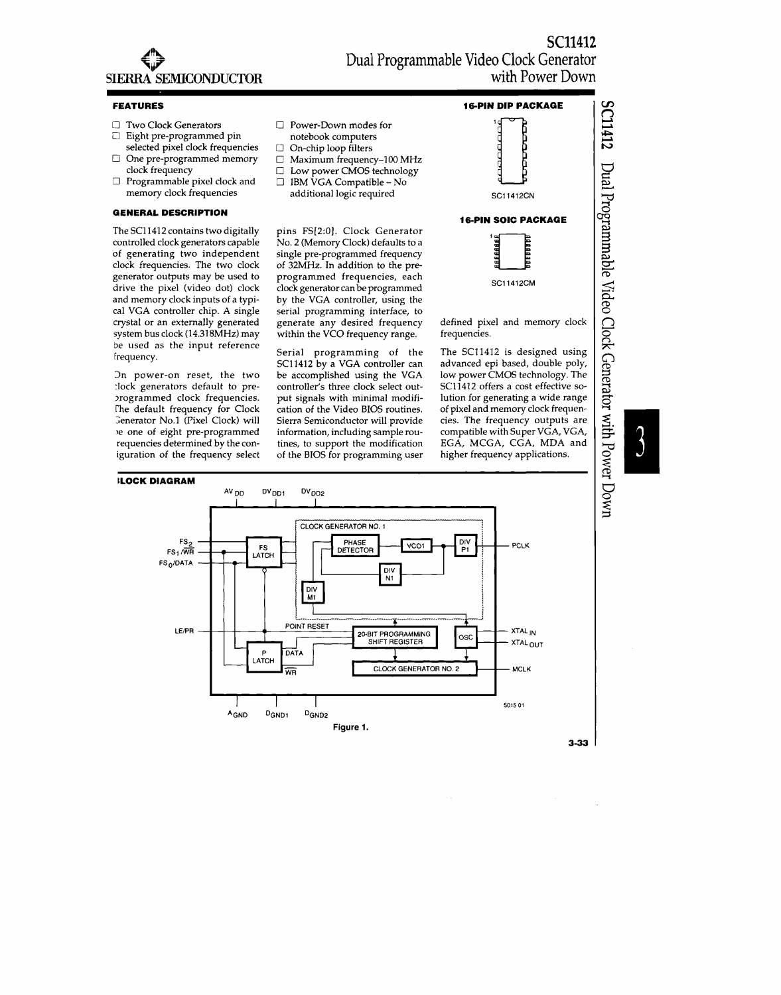

# **FEATURES**

- □ Two Clock Generators
- $\Box$ Eight pre-programmed pin selected pixel clock frequencies One pre-programmed memory  $\Box$
- clock frequency
- $\Box$  Programmable pixel clock and memory clock frequencies

# **GENERAL DESCRIPTION**

The SC11412 contains two digitally controlled clock generators capable of generating two independent clock frequencies. The two clock generator outputs may be used to drive the pixel (video dot) clock and memory clock inputs of a typical VGA controller chip. A single crystal or an externally generated system bus clock (14.318MHz) may be used as the input reference frequency.

On power-on reset, the two :lock generators default to preprogrammed clock frequencies. The default frequency for Clock Generator No.1 (Pixel Clock) will ve one of eight pre-programmed requencies determined by the coniguration of the frequency select

## **ILOCK DIAGRAM**

- Power-Down modes for
- notebook computers
- □ On-chip loop filters Maximum frequency-100 MHz  $\Box$
- Low power CMOS technology  $\Box$
- IBM VGA Compatible No  $\Box$
- additional logic required

pins FS[2:0]. Clock Generator No. 2 (Memory Clock) defaults to a single pre-programmed frequency of 32MHz. In addition to the preprogrammed frequencies, each clock generator can be programmed by the VGA controller, using the serial programming interface, to generate any desired frequency within the VCO frequency range.

Serial programming of the SC11412 by a VGA controller can be accomplished using the VGA controller's three clock select output signals with minimal modification of the Video BIOS routines. Sierra Semiconductor will provide information, including sample routines, to support the modification of the BIOS for programming user



Dual Programmable Video Clock Generator

SC11412

with Power Down

advanced epi based, double poly, low power CMOS technology. The SC11412 offers a cost effective solution for generating a wide range of pixel and memory clock frequencies. The frequency outputs are compatible with Super VGA, VGA, EGA, MCGA, CGA, MDA and higher frequency applications.

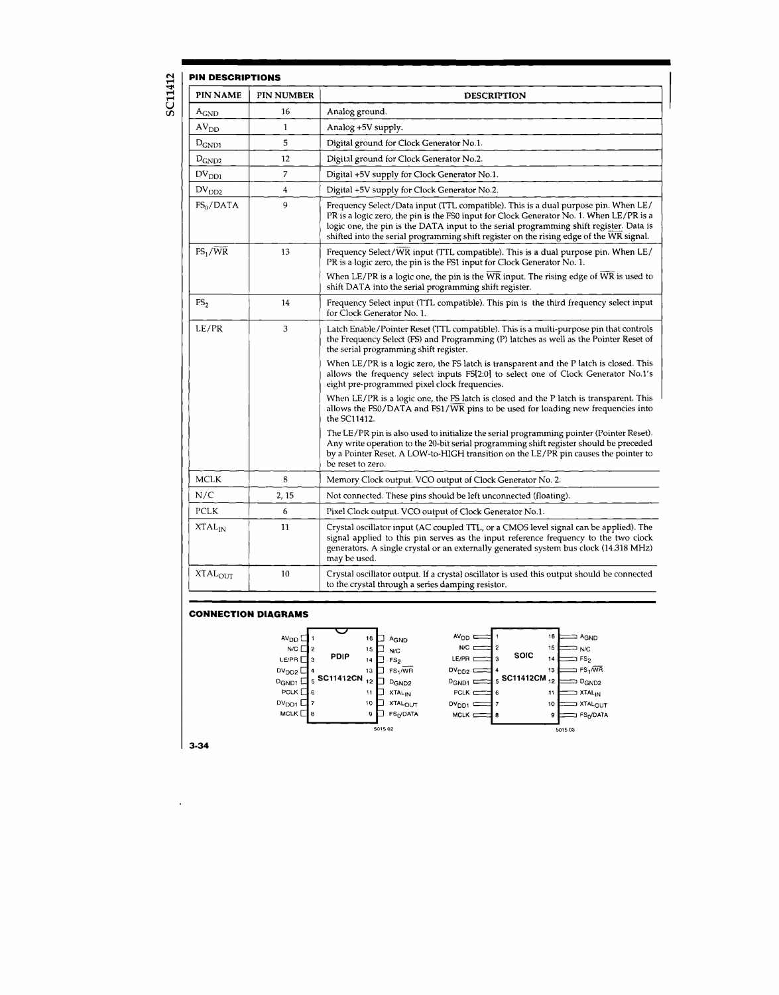# **SC11412**

| <b>PIN NAME</b>           | <b>PIN NUMBER</b> | <b>DESCRIPTION</b>                                                                                                                                                                                                                                                                                                                                                 |
|---------------------------|-------------------|--------------------------------------------------------------------------------------------------------------------------------------------------------------------------------------------------------------------------------------------------------------------------------------------------------------------------------------------------------------------|
| $A_{GND}$                 | 16                | Analog ground.                                                                                                                                                                                                                                                                                                                                                     |
| AV <sub>DD</sub>          | $\mathbf{1}$      | Analog +5V supply.                                                                                                                                                                                                                                                                                                                                                 |
| $D_{GND1}$                | 5                 | Digital ground for Clock Generator No.1.                                                                                                                                                                                                                                                                                                                           |
| $D_{GND2}$                | 12                | Digital ground for Clock Generator No.2.                                                                                                                                                                                                                                                                                                                           |
| $DV_{DD1}$                | 7                 | Digital +5V supply for Clock Generator No.1.                                                                                                                                                                                                                                                                                                                       |
| $\rm DV_{DD2}$            | 4                 | Digital +5V supply for Clock Generator No.2.                                                                                                                                                                                                                                                                                                                       |
| $FS_0/DATA$               | 9                 | Frequency Select/Data input (TTL compatible). This is a dual purpose pin. When LE/<br>PR is a logic zero, the pin is the FS0 input for Clock Generator No. 1. When LE/PR is a<br>logic one, the pin is the DATA input to the serial programming shift register. Data is<br>shifted into the serial programming shift register on the rising edge of the WR signal. |
| $FS_1/\overline{WR}$      | 13                | Frequency Select/WR input (TTL compatible). This is a dual purpose pin. When LE/<br>PR is a logic zero, the pin is the FS1 input for Clock Generator No. 1.                                                                                                                                                                                                        |
|                           |                   | When LE/PR is a logic one, the pin is the WR input. The rising edge of WR is used to<br>shift DATA into the serial programming shift register.                                                                                                                                                                                                                     |
| FS <sub>2</sub>           | 14                | Frequency Select input (TTL compatible). This pin is the third frequency select input<br>for Clock Generator No. 1.                                                                                                                                                                                                                                                |
| LE/PR                     | 3                 | Latch Enable/Pointer Reset (TTL compatible). This is a multi-purpose pin that controls<br>the Frequency Select (FS) and Programming (P) latches as well as the Pointer Reset of<br>the serial programming shift register.                                                                                                                                          |
|                           |                   | When LE/PR is a logic zero, the FS latch is transparent and the P latch is closed. This<br>allows the frequency select inputs FS[2:0] to select one of Clock Generator No.1's<br>eight pre-programmed pixel clock frequencies.                                                                                                                                     |
|                           |                   | When LE/PR is a logic one, the FS latch is closed and the P latch is transparent. This<br>allows the FS0/DATA and FS1/WR pins to be used for loading new frequencies into<br>the SC11412.                                                                                                                                                                          |
|                           |                   | The LE/PR pin is also used to initialize the serial programming pointer (Pointer Reset).<br>Any write operation to the 20-bit serial programming shift register should be preceded<br>by a Pointer Reset. A LOW-to-HIGH transition on the LE/PR pin causes the pointer to<br>be reset to zero.                                                                     |
| MCLK                      | 8                 | Memory Clock output. VCO output of Clock Generator No. 2.                                                                                                                                                                                                                                                                                                          |
| N/C                       | 2, 15             | Not connected. These pins should be left unconnected (floating).                                                                                                                                                                                                                                                                                                   |
| PCLK                      | 6                 | Pixel Clock output. VCO output of Clock Generator No.1.                                                                                                                                                                                                                                                                                                            |
| $XTAL_{IN}$               | 11                | Crystal oscillator input (AC coupled TTL, or a CMOS level signal can be applied). The<br>signal applied to this pin serves as the input reference frequency to the two clock<br>generators. A single crystal or an externally generated system bus clock (14.318 MHz)<br>may be used.                                                                              |
| <b>XTAL<sub>OUT</sub></b> | 10                | Crystal oscillator output. If a crystal oscillator is used this output should be connected<br>to the crystal through a series damping resistor.                                                                                                                                                                                                                    |

# **CONNECTION DIAGRAMS**

| AV <sub>DD</sub>    |    |                  | 16              | AGND                     | $A\vee_{DD}$      |    |                        | 16 |         | ⊐ AGND                      |
|---------------------|----|------------------|-----------------|--------------------------|-------------------|----|------------------------|----|---------|-----------------------------|
| N/C $\Box$ 2        |    |                  | 15              | N/C                      | $N/C \equiv$      |    |                        | 15 |         | ⊃ N/C                       |
| LE/PR <sup>[</sup>  | lз | PDIP             | 14 <sup>1</sup> | FS <sub>2</sub>          | LE/PR             | -3 | SOIC                   | 14 |         | $\supset$ FS <sub>2</sub>   |
| DV <sub>DD2</sub> L |    |                  | 13              | FS <sub>1</sub> MP       | $DV_{DD2} \equiv$ | 4  |                        | 13 |         | ⊐ FS <sub>1</sub> /WR       |
| D <sub>GND1</sub> L |    | <b>SC11412CN</b> | 12              | D <sub>GND2</sub>        | $D_{GND1}$        |    | $_5$ SC11412CM $_{12}$ |    |         | $\supset D_{GND2}$          |
| PCLK [              | 16 |                  | 11              | <b>XTAL<sub>IN</sub></b> | PCLK $\equiv$     | 6  |                        | 11 |         | $\equiv$ XTAL <sub>IN</sub> |
| $DV_{DD1}$ $L$      |    |                  | 10              | <b>XTALOUT</b>           | DV <sub>DD1</sub> |    |                        | 10 |         | <b>TUOJATX</b>              |
| <b>MCLK</b>         | 18 |                  | S.              | FS <sub>0</sub> /DATA    | $MCLK \equiv$     | -8 |                        | 9  |         | דAקOAT ⊏                    |
|                     |    |                  |                 | 5015 02                  |                   |    |                        |    |         |                             |
|                     |    |                  |                 |                          |                   |    |                        |    | 5015 03 |                             |

**3-34** 

 $\hat{\mathbf{r}}$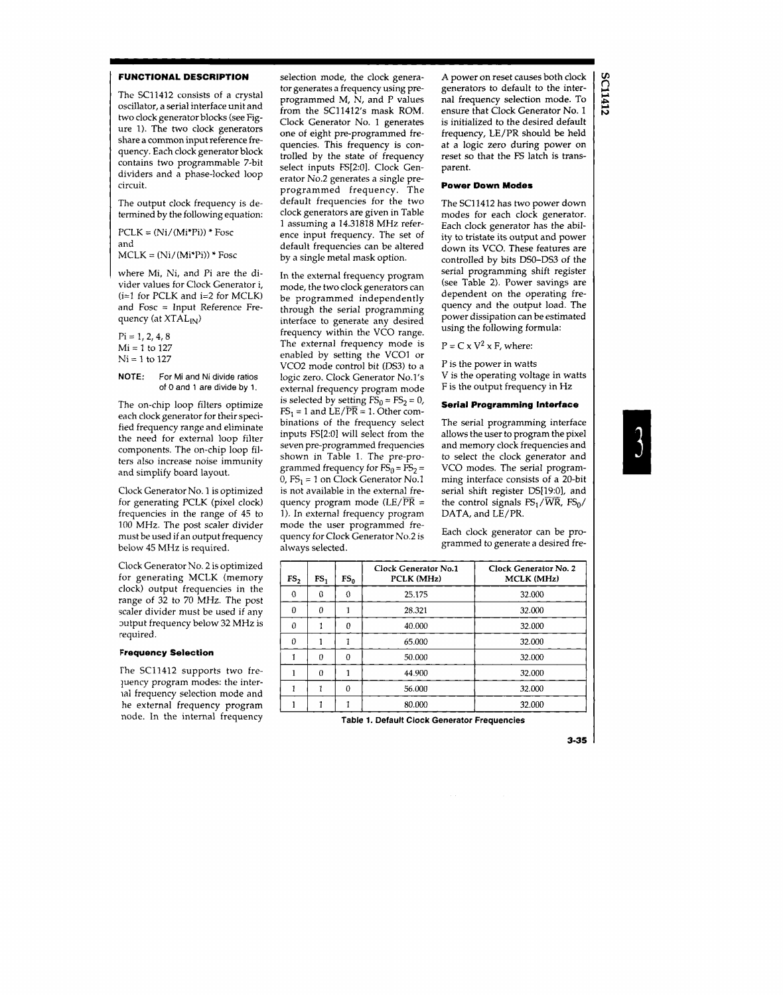# **FUNCTIONAL DESCRIPTION**

The SCl1412 consists of a crystal oscillator, a serial interface unit and two clock generator blocks (see Figure 1). The two clock generators share a common input reference frequency. Each clock generator block contains two programmable 7-bit dividers and a phase-locked loop circuit.

The output clock frequency is determined by the following equation:

 $PCLK = (Ni/(Mi*Pi))$ <sup>\*</sup> Fosc and  $MCLK = (Ni/(Mi*Pi))$  \* Fosc

where Mi, Ni, and Pi are the divider values for Clock Generator i,  $(i=1$  for PCLK and  $i=2$  for MCLK) and Fosc = Input Reference Frequency (at  $XTAL_{IN}$ )

 $Pi = 1, 2, 4, 8$  $Mi = 1$  to 127  $Ni = 1$  to 127

### NOTE: For Mi and Ni divide ratios of 0 and 1 are divide by 1.

The on-chip loop filters optimize each clock generator for their specified frequency range and eliminate the need for external loop filter components. The on-chip loop filters also increase noise immunity and simplify board layout.

Clock Generator No.1 is optimized for generating PCLK (pixel clock) frequencies in the range of 45 to 100 MHz. The post scaler divider must be used if an output frequency below 45 MHz is required.

Clock Genera tor No.2 is optimized for generating MCLK (memory clock) output frequencies in the range of 32 to 70 MHz. The post scaler divider must be used if any output frequency below 32 MHz is required.

#### **Frequency Selection**

The SC11412 supports two freluency program modes: the interlal frequency selection mode and he external frequency program node. In the internal frequency

selection mode, the clock generator generates a frequency using preprogrammed M, N, and P values from the SC11412's mask ROM. Clock Generator No. 1 generates one of eight pre-programmed frequencies. This frequency is controlled by the state of frequency select inputs FS[2:0]. Clock Generator No.2 generates a single preprogrammed frequency. The default frequencies for the two clock generators are given in Table 1 assuming a 14.31818 MHz reference input frequency. The set of default frequencies can be altered by a single metal mask option.

In the external frequency program mode, the two clock generators can be programmed independently through the serial programming interface to generate any desired frequency within the VCO range. The external frequency mode is enabled by setting the VCO1 or VCO2 mode control bit (DS3) to a logic zero. Clock Generator No.l's external frequency program mode is selected by setting  $FS_0 = FS_2 = 0$ ,  $FS_1 = 1$  and  $LE/\overline{PR} = 1$ . Other combinations of the frequency select inputs FS[2:0j will select from the seven pre-programmed frequencies shown in Table 1. The pre-programmed frequency for  $FS_0 = FS_2 =$ 0,  $FS_1 = 1$  on Clock Generator No.1 is not available in the external frequency program mode (LE/ $\overline{PR}$  = 1). In external frequency program mode the user programmed frequency for Clock Generator No.2 is always selected.

A power on reset causes both clock generators to default to the internal frequency selection mode. To ensure that Clock Generator No.1 is initialized to the desired default frequency, LE/PR should be held at a logic zero during power on reset so that the FS latch is transparent.

### **Power Down Modes**

The SCII412 has two power down modes for each clock generator. Each clock generator has the ability to tristate its output and power down its VCO. These features are controlled by bits DSO-DS3 of the serial programming shift register (see Table 2). Power savings are dependent on the operating frequency and the output load. The power dissipation can be estimated using the following formula:

 $P = C \times V^2 \times F$ , where:

P is the power in watts V is the operating voltage in watts F is the output frequency in Hz

# **Serial Programming Interface**

The serial programming interface allows the user to program the pixel and memory clock frequencies and to select the clock generator and VCO modes. The serial programming interface consists of a 20-bit serial shift register 05[19:0], and the control signals  $FS_1/\overline{WR}$ ,  $FS_0/$ DATA, and LE/PR.

Each clock generator can be programmed to generate a desired fre-

| FS <sub>2</sub> | FS <sub>1</sub> | $FS_0$ | Clock Generator No.1<br>PCLK (MHz) | Clock Generator No. 2<br>MCLK (MHz) |
|-----------------|-----------------|--------|------------------------------------|-------------------------------------|
| 0               | G               | Ω      | 25.175                             | 32.000                              |
| 0               | 0               |        | 28.321                             | 32.000                              |
| $\Omega$        |                 | 0      | 40.000                             | 32.000                              |
| $\theta$        |                 |        | 65,000                             | 32 000                              |
|                 | 0               | 0      | 50.000                             | 32.000                              |
|                 | 0               |        | 44.900                             | 32.000                              |
|                 |                 | 0      | 56.000                             | 32.000                              |
|                 |                 |        | 80.000                             | 32.000                              |

Table 1. Default Clock Generator Frequencies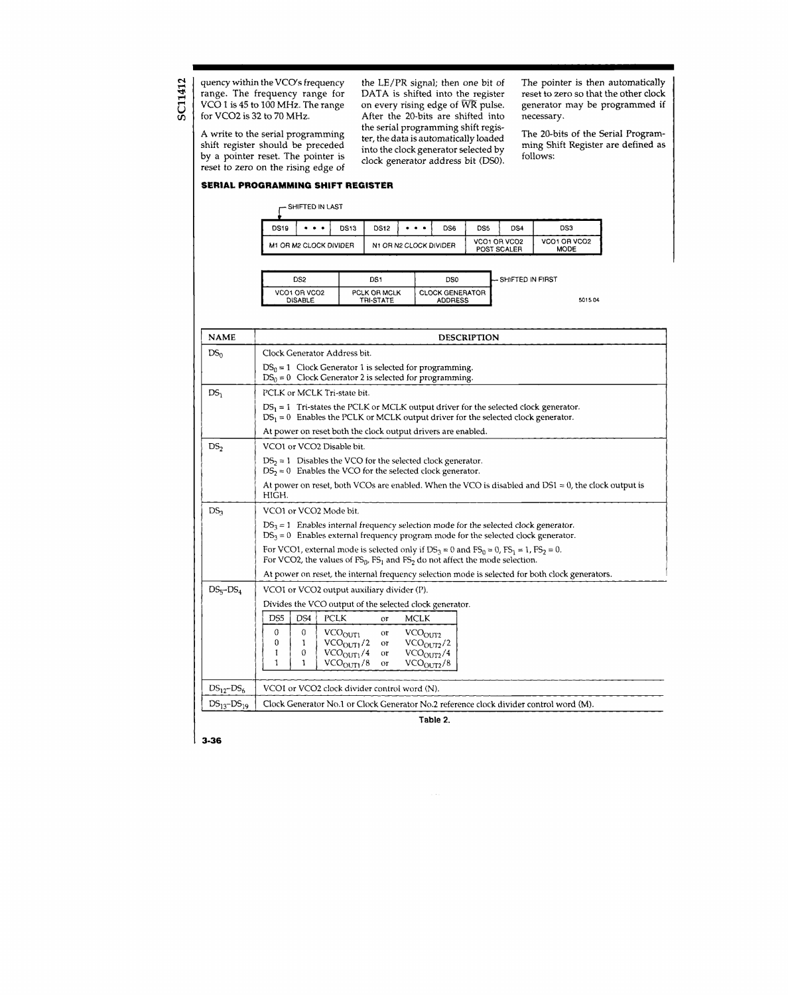quency within the VCO's frequency the *LE/PR* signal; then one bit of The pointer is then automatically range. The frequency range for DATA is shifted into the register reset to zero so that the other clock VCO 1 is 45 to VCO 1 is 45 to 100 MHz. The range on every rising edge of  $\overline{WR}$  pulse. generator may be programmed if for VCO2 is 32 to 70 MHz. <br>After the 20-bits are shifted into necessary.

**SC11412** 

A write to the serial programming reset to zero on the rising edge of

**SERIAL PROGRAMMING SHIFT REGISTER** 

DATA is shifted into the register on every rising edge of  $\overline{\text{WR}}$  pulse. After the 20-bits are shifted into the serial programming shift registhe serial programming shift regis-<br>ter, the data is automatically loaded<br>into the clock generator selected by<br> $\frac{1}{2}$  and  $\frac{1}{2}$  and  $\frac{1}{2}$  and  $\frac{1}{2}$  are defined as shift register should be preceded into the clock generator selected by ming Shift Register are defined as how the clock generator selected by<br>clock generator address bit (DS0). follows:

|                        | - SHIFTED IN LAST |                        |      |   |                             |                 |                             |     |
|------------------------|-------------------|------------------------|------|---|-----------------------------|-----------------|-----------------------------|-----|
| <b>DS19</b>            | $\cdots$          | DS13                   | DS12 | . | DS <sub>6</sub>             | DS <sub>5</sub> | DS4                         | DS3 |
| M1 OR M2 CLOCK DIVIDER |                   | N1 OR N2 CLOCK DIVIDER |      |   | VCO1 OR VCO2<br>POST SCALER |                 | VCO1 OR VCO2<br><b>MODE</b> |     |

| DS2                            | DS <sub>1</sub>           | DS0                                      | - SHIFTED IN FIRST |        |
|--------------------------------|---------------------------|------------------------------------------|--------------------|--------|
| VCO1 OR VCO2<br><b>DISABLE</b> | PCLK OR MCLK<br>TRI STATE | <b>CLOCK GENERATOR</b><br><b>ADDRESS</b> |                    | 501504 |

| <b>NAME</b>          | <b>DESCRIPTION</b>                                                                                                                                                                                                                                                             |  |  |  |  |  |  |  |  |  |
|----------------------|--------------------------------------------------------------------------------------------------------------------------------------------------------------------------------------------------------------------------------------------------------------------------------|--|--|--|--|--|--|--|--|--|
| DS <sub>0</sub>      | Clock Generator Address bit.                                                                                                                                                                                                                                                   |  |  |  |  |  |  |  |  |  |
|                      | $DS_0 = 1$ Clock Generator 1 is selected for programming.<br>$DS_0 = 0$ Clock Generator 2 is selected for programming.                                                                                                                                                         |  |  |  |  |  |  |  |  |  |
| DS <sub>1</sub>      | PCLK or MCLK Tri-state bit.                                                                                                                                                                                                                                                    |  |  |  |  |  |  |  |  |  |
|                      | $DS_1 = 1$ Tri-states the PCLK or MCLK output driver for the selected clock generator.<br>$DS_1 = 0$ Enables the PCLK or MCLK output driver for the selected clock generator.                                                                                                  |  |  |  |  |  |  |  |  |  |
|                      | At power on reset both the clock output drivers are enabled.                                                                                                                                                                                                                   |  |  |  |  |  |  |  |  |  |
| DS <sub>2</sub>      | VCO1 or VCO2 Disable bit.                                                                                                                                                                                                                                                      |  |  |  |  |  |  |  |  |  |
|                      | $DS_2 = 1$ Disables the VCO for the selected clock generator.<br>$DS_2 \approx 0$ Enables the VCO for the selected clock generator.                                                                                                                                            |  |  |  |  |  |  |  |  |  |
|                      | At power on reset, both VCOs are enabled. When the VCO is disabled and DS1 $= 0$ , the clock output is<br>HIGH.                                                                                                                                                                |  |  |  |  |  |  |  |  |  |
| DS <sub>3</sub>      | VCO1 or VCO2 Mode bit.                                                                                                                                                                                                                                                         |  |  |  |  |  |  |  |  |  |
|                      | $DS_3 = 1$ Enables internal frequency selection mode for the selected clock generator.<br>$DS_3 = 0$ Enables external frequency program mode for the selected clock generator.                                                                                                 |  |  |  |  |  |  |  |  |  |
|                      | For VCO1, external mode is selected only if $DS_3 = 0$ and $FS_0 = 0$ , $FS_1 = 1$ , $FS_2 = 0$ .<br>For VCO2, the values of $FS_0$ , $FS_1$ and $FS_2$ do not affect the mode selection.                                                                                      |  |  |  |  |  |  |  |  |  |
|                      | At power on reset, the internal frequency selection mode is selected for both clock generators.                                                                                                                                                                                |  |  |  |  |  |  |  |  |  |
| $DS_5$ - $DS_4$      | VCO1 or VCO2 output auxiliary divider (P).                                                                                                                                                                                                                                     |  |  |  |  |  |  |  |  |  |
|                      | Divides the VCO output of the selected clock generator.                                                                                                                                                                                                                        |  |  |  |  |  |  |  |  |  |
|                      | D <sub>55</sub><br>DS4<br><b>PCLK</b><br>MCLK<br>$\alpha$                                                                                                                                                                                                                      |  |  |  |  |  |  |  |  |  |
|                      | 0<br>0<br>VCO <sub>OUT1</sub><br>VCO <sub>OUT2</sub><br>$\sigma$<br>0<br>1<br>VCO <sub>OUT1</sub> /2<br>VCO <sub>O1TT2</sub> /2<br>or<br>VCO <sub>OIII</sub> /4<br>1<br>VCO <sub>OIII</sub> /4<br>0<br>or<br>1<br>VCO <sub>OUT1</sub> /8<br>1<br>VCO <sub>OIII2</sub> /8<br>or |  |  |  |  |  |  |  |  |  |
| $DS_{12}$ - $DS_{6}$ | VCO1 or VCO2 clock divider control word (N).                                                                                                                                                                                                                                   |  |  |  |  |  |  |  |  |  |
| $DS_{13} - DS_{19}$  | Clock Generator No.1 or Clock Generator No.2 reference clock divider control word (M).                                                                                                                                                                                         |  |  |  |  |  |  |  |  |  |

Table 2.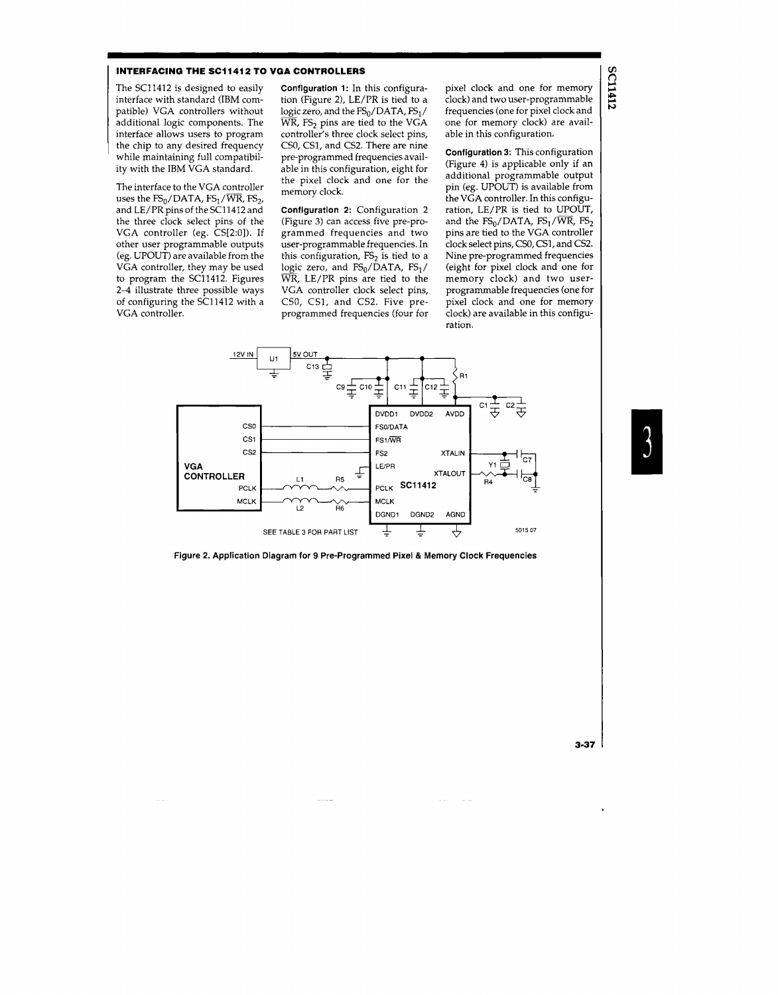# **INTERFACING THE SC11412 TO VGA CONTROLLERS**

The SC11412 is designed to easily interface with standard (IBM compatible) VGA controllers without additional logic components. The interface allows users to program the chip to any desired frequency while maintaining full compatibility with the IBM VGA standard.

The interface to the VGA controller uses the  $FS_0/DATA$ ,  $FS_1/\overline{WR}$ ,  $FS_2$ , and LE/PR pins of the SC11412 and the three clock select pins of the VGA controller (eg. CS[2:0j). If other user programmable outputs (eg. UPOUT) are available from the VGA controller, they may be used to program the SC11412. Figures 2-4 illustrate three possible ways of configuring the SC11412 with a VGA controller.

**Configuration 1:** In this configuration (Figure 2), LE/PR is tied to a logic zero, and the  $FS_0/DATA$ ,  $FS_1/$  $\overline{\text{WR}}$ , FS<sub>2</sub> pins are tied to the VGA controller's three clock select pins, CSO, CS1, and CS2. There are nine pre-programmed frequencies available in this configuration, eight for the pixel clock and one for the memory clock.

**Configuration** 2: Configuration 2 (Figure 3) can access five pre-programmed frequencies and two user-programmable frequencies. In this configuration,  $FS<sub>2</sub>$  is tied to a logic zero, and  $FS_0/\bar{D}ATA$ ,  $FS_1/$ WR, LE/PR pins are tied to the VGA controller clock select pins, CSO, CSl, and CS2. Five preprogrammed frequencies (four for

pixel clock and one for memory clock) and two user-programmable frequencies (one for pixel clock and one for memory clock) are available in this configuration.

**SCILL112** 

**Configuration** 3: This configuration (Figure 4) is applicable only if an additional programmable output pin (eg. UPOUT) is available from the VGA controller. In this configuration, LE/PR is tied to UPOUT, and the  $\text{FS}_0\text{/DATA}$  ,  $\text{FS}_1\text{/}\overline{\text{WR}}$  ,  $\text{FS}_2$ pins are tied to the VGA controller clock select pins, CSO, CS1, and CS2. Nine pre-programmed frequencies (eight for pixel clock and one for memory clock) and two userprogrammable frequencies (one for pixel clock and one for memory clock) are available in this configuration.



**Figure 2. Application Diagram for 9 Pre-Programmed Pixel & Memory Clock Frequencies** 

3

**3·37**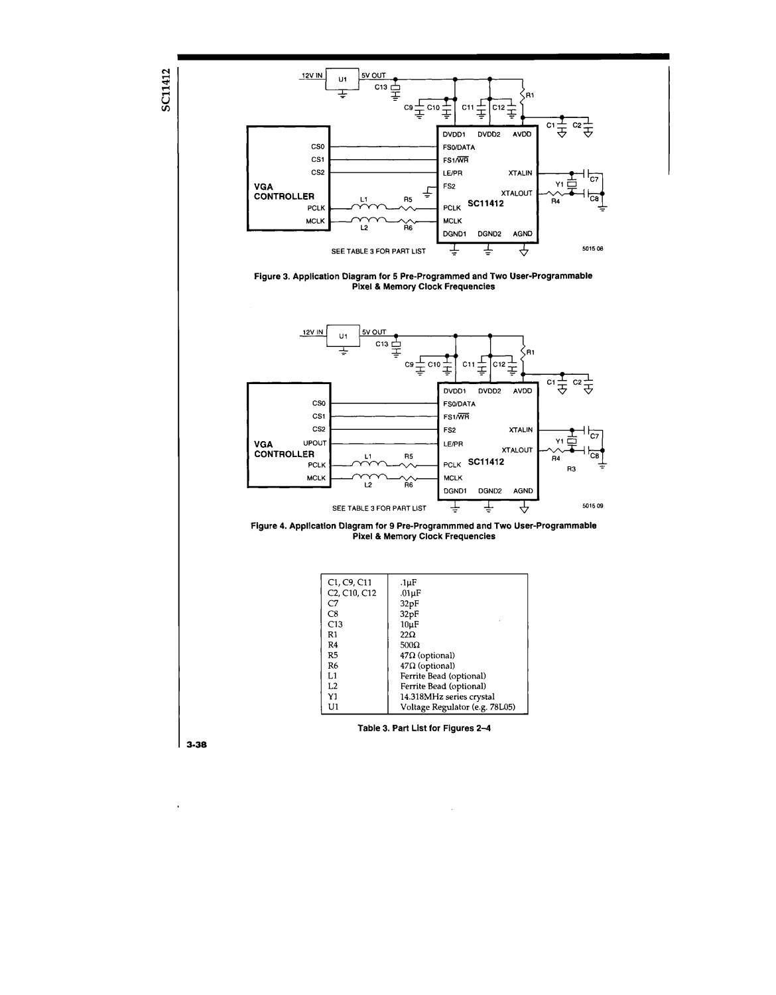



 $\cdot$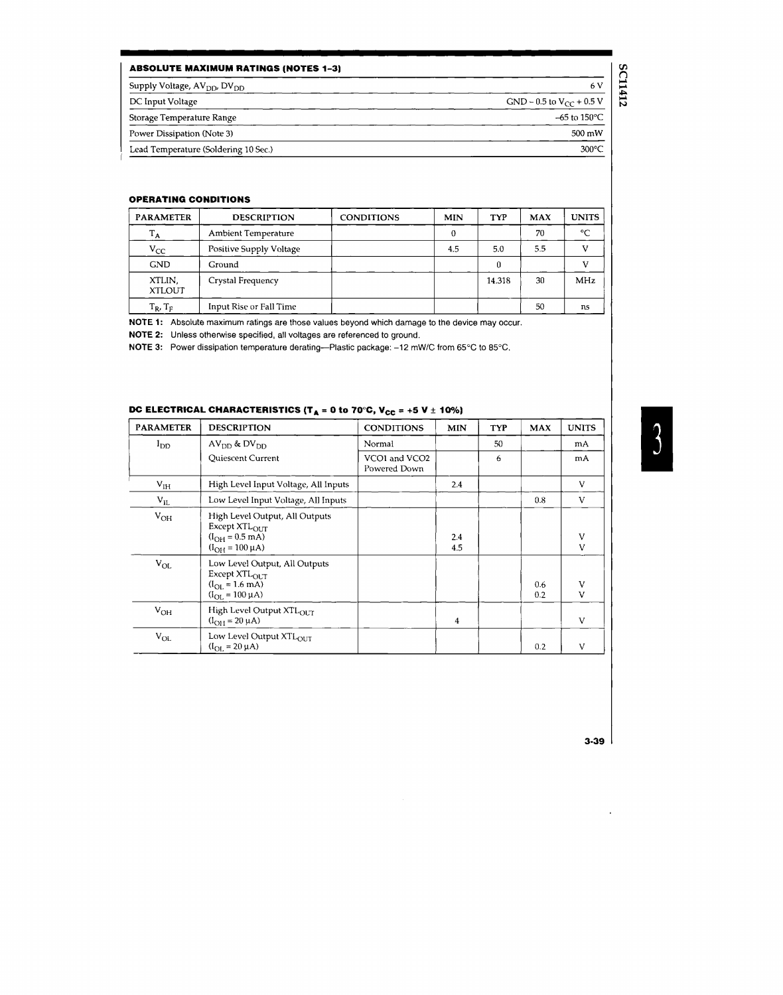# **ABSOLUTE MAXIMUM RATINGS (NOTES 1-3)**

| Supply Voltage, $AV_{DD}$ , $DV_{DD}$ |                               |
|---------------------------------------|-------------------------------|
| DC Input Voltage                      | GND – 0.5 to $V_{CC}$ + 0.5 V |
| Storage Temperature Range             | –65 to 150°C                  |
| Power Dissipation (Note 3)            | $500 \text{ mW}$              |
| Lead Temperature (Soldering 10 Sec.)  | $300^{\circ}$ C               |

# **OPERATING CONDITIONS**

| <b>PARAMETER</b>        | <b>DESCRIPTION</b>      | <b>CONDITIONS</b> | MIN | <b>TYP</b> | <b>MAX</b> | <b>UNITS</b> |
|-------------------------|-------------------------|-------------------|-----|------------|------------|--------------|
| T <sub>A</sub>          | Ambient Temperature     |                   |     |            | 70         | °C           |
| $v_{\rm cc}$            | Positive Supply Voltage |                   | 4.5 | 5.0        | 5.5        |              |
| <b>GND</b>              | Ground                  |                   |     | O          |            |              |
| XTLIN,<br><b>XTLOUT</b> | Crystal Frequency       |                   |     | 14.318     | 30         | MHz          |
| $T_R$ , $T_F$           | Input Rise or Fall Time |                   |     |            | 50         | ns           |

NOTE 1: Absolute maximum ratings are those values beyond which damage to the device may occur.

**NOTE** 2: Unless otherwise specified, all voltages are referenced to ground.

NOTE 3: Power dissipation temperature derating--Plastic package: -12 mW/C from 65°C to 85°C.

| <b>PARAMETER</b> | <b>DESCRIPTION</b>                                                                                                              | <b>CONDITIONS</b>             | MIN        | <b>TYP</b> | <b>MAX</b> | <b>UNITS</b>      |
|------------------|---------------------------------------------------------------------------------------------------------------------------------|-------------------------------|------------|------------|------------|-------------------|
| $I_{DD}$         | $AV_{DD}$ & $DV_{DD}$                                                                                                           | Normal                        |            | 50         |            | mA                |
|                  | Quiescent Current                                                                                                               | VCO1 and VCO2<br>Powered Down |            | 6          |            | mA                |
| $V_{IH}$         | High Level Input Voltage, All Inputs                                                                                            |                               | 2.4        |            |            | V                 |
| $V_{\rm IL}$     | Low Level Input Voltage, All Inputs                                                                                             |                               |            |            | 0.8        | V                 |
| $V_{OH}$         | High Level Output, All Outputs<br>Except XTLOUT<br>$(I_{\text{OH}} = 0.5 \text{ mA})$<br>$(I_{OH} = 100 \mu A)$                 |                               | 2.4<br>4.5 |            |            | V<br>V            |
| $V_{OL}$         | Low Level Output, All Outputs<br>Except $XTLOLT$<br>$(I_{\text{CI}} = 1.6 \text{ mA})$<br>$(I_{\text{OL}} = 100 \,\mu\text{A})$ |                               |            |            | 0.6<br>0.2 | V<br>$\mathbf{V}$ |
| $V_{OH}$         | High Level Output XTLOUT<br>$(I_{OH} = 20 \mu A)$                                                                               |                               | 4          |            |            | V                 |
| $V_{OL}$         | Low Level Output XTLOUT<br>$(I_{OL} = 20 \mu A)$                                                                                |                               |            |            | 0.2        | v                 |

# **DC ELECTRICAL CHARACTERISTICS (T<sub>A</sub> = 0 to 70°C, V<sub>CC</sub> =**  $+5$  **V**  $\pm$  **10%)**

**SC11412** 

**3·39**